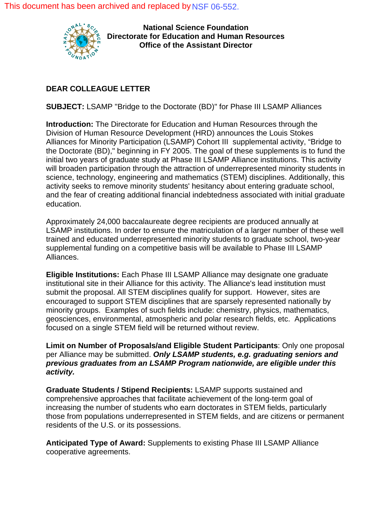This document has been archived and replaced b[y NSF 06-552.](http://www.nsf.gov/publications/pub_summ.jsp?ods_key=nsf06552)



**National Science Foundation Directorate for Education and Human Resources Office of the Assistant Director**

## **DEAR COLLEAGUE LETTER**

**SUBJECT:** LSAMP "Bridge to the Doctorate (BD)" for Phase III LSAMP Alliances

**Introduction:** The Directorate for Education and Human Resources through the Division of Human Resource Development (HRD) announces the Louis Stokes Alliances for Minority Participation (LSAMP) Cohort III supplemental activity, "Bridge to the Doctorate (BD)," beginning in FY 2005. The goal of these supplements is to fund the initial two years of graduate study at Phase III LSAMP Alliance institutions. This activity will broaden participation through the attraction of underrepresented minority students in science, technology, engineering and mathematics (STEM) disciplines. Additionally, this activity seeks to remove minority students' hesitancy about entering graduate school, and the fear of creating additional financial indebtedness associated with initial graduate education.

Approximately 24,000 baccalaureate degree recipients are produced annually at LSAMP institutions. In order to ensure the matriculation of a larger number of these well trained and educated underrepresented minority students to graduate school, two-year supplemental funding on a competitive basis will be available to Phase III LSAMP Alliances.

**Eligible Institutions:** Each Phase III LSAMP Alliance may designate one graduate institutional site in their Alliance for this activity. The Alliance's lead institution must submit the proposal. All STEM disciplines qualify for support. However, sites are encouraged to support STEM disciplines that are sparsely represented nationally by minority groups. Examples of such fields include: chemistry, physics, mathematics, geosciences, environmental, atmospheric and polar research fields, etc. Applications focused on a single STEM field will be returned without review.

**Limit on Number of Proposals/and Eligible Student Participants**: Only one proposal per Alliance may be submitted. *Only LSAMP students, e.g. graduating seniors and previous graduates from an LSAMP Program nationwide, are eligible under this activity.* 

**Graduate Students / Stipend Recipients:** LSAMP supports sustained and comprehensive approaches that facilitate achievement of the long-term goal of increasing the number of students who earn doctorates in STEM fields, particularly those from populations underrepresented in STEM fields, and are citizens or permanent residents of the U.S. or its possessions.

**Anticipated Type of Award:** Supplements to existing Phase III LSAMP Alliance cooperative agreements.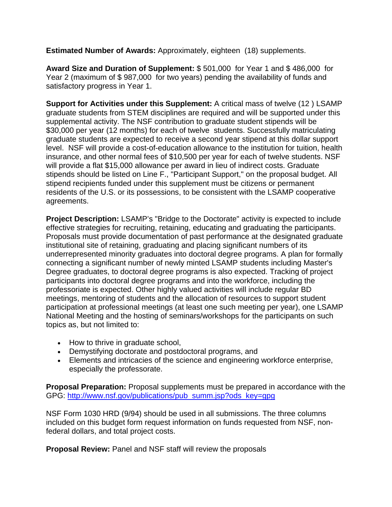**Estimated Number of Awards:** Approximately, eighteen (18) supplements.

**Award Size and Duration of Supplement:** \$ 501,000 for Year 1 and \$ 486,000 for Year 2 (maximum of \$ 987,000 for two years) pending the availability of funds and satisfactory progress in Year 1.

**Support for Activities under this Supplement:** A critical mass of twelve (12 ) LSAMP graduate students from STEM disciplines are required and will be supported under this supplemental activity. The NSF contribution to graduate student stipends will be \$30,000 per year (12 months) for each of twelve students. Successfully matriculating graduate students are expected to receive a second year stipend at this dollar support level. NSF will provide a cost-of-education allowance to the institution for tuition, health insurance, and other normal fees of \$10,500 per year for each of twelve students. NSF will provide a flat \$15,000 allowance per award in lieu of indirect costs. Graduate stipends should be listed on Line F., "Participant Support," on the proposal budget. All stipend recipients funded under this supplement must be citizens or permanent residents of the U.S. or its possessions, to be consistent with the LSAMP cooperative agreements.

**Project Description:** LSAMP's "Bridge to the Doctorate" activity is expected to include effective strategies for recruiting, retaining, educating and graduating the participants. Proposals must provide documentation of past performance at the designated graduate institutional site of retaining, graduating and placing significant numbers of its underrepresented minority graduates into doctoral degree programs. A plan for formally connecting a significant number of newly minted LSAMP students including Master's Degree graduates, to doctoral degree programs is also expected. Tracking of project participants into doctoral degree programs and into the workforce, including the professoriate is expected. Other highly valued activities will include regular BD meetings, mentoring of students and the allocation of resources to support student participation at professional meetings (at least one such meeting per year), one LSAMP National Meeting and the hosting of seminars/workshops for the participants on such topics as, but not limited to:

- How to thrive in graduate school.
- Demystifying doctorate and postdoctoral programs, and
- Elements and intricacies of the science and engineering workforce enterprise, especially the professorate.

**Proposal Preparation:** Proposal supplements must be prepared in accordance with the GPG: [http://www.nsf.gov/publications/pub\\_summ.jsp?ods\\_key=gpg](http://www.nsf.gov/publications/pub_summ.jsp?ods_key=gpg)

NSF Form 1030 HRD (9/94) should be used in all submissions. The three columns included on this budget form request information on funds requested from NSF, nonfederal dollars, and total project costs.

**Proposal Review:** Panel and NSF staff will review the proposals